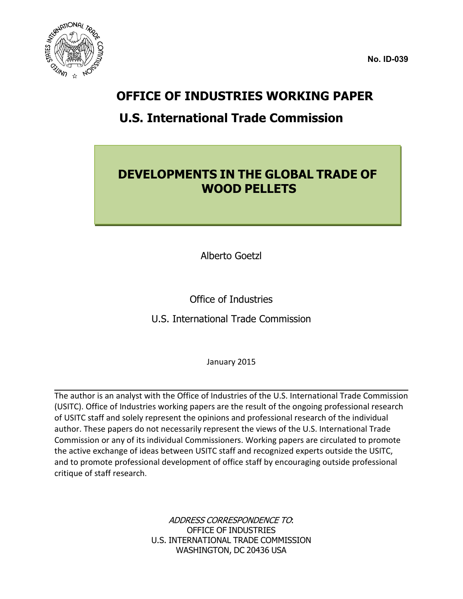



### **OFFICE OF INDUSTRIES WORKING PAPER**

### **U.S. International Trade Commission**

### **DEVELOPMENTS IN THE GLOBAL TRADE OF WOOD PELLETS**

Alberto Goetzl

Office of Industries

U.S. International Trade Commission

January 2015

The author is an analyst with the Office of Industries of the U.S. International Trade Commission (USITC). Office of Industries working papers are the result of the ongoing professional research of USITC staff and solely represent the opinions and professional research of the individual author. These papers do not necessarily represent the views of the U.S. International Trade Commission or any of its individual Commissioners. Working papers are circulated to promote the active exchange of ideas between USITC staff and recognized experts outside the USITC, and to promote professional development of office staff by encouraging outside professional critique of staff research.

> ADDRESS CORRESPONDENCE TO: OFFICE OF INDUSTRIES U.S. INTERNATIONAL TRADE COMMISSION WASHINGTON, DC 20436 USA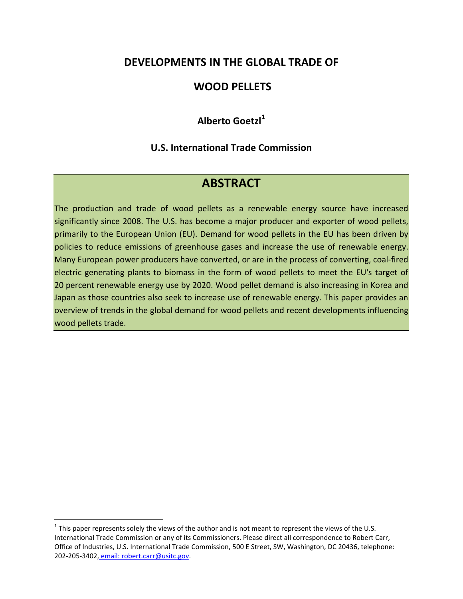### **DEVELOPMENTS IN THE GLOBAL TRADE OF**

### **WOOD PELLETS**

### **Alberto Goetzl[1](#page-1-0)**

### **U.S. International Trade Commission**

### **ABSTRACT**

The production and trade of wood pellets as a renewable energy source have increased significantly since 2008. The U.S. has become a major producer and exporter of wood pellets, primarily to the European Union (EU). Demand for wood pellets in the EU has been driven by policies to reduce emissions of greenhouse gases and increase the use of renewable energy. Many European power producers have converted, or are in the process of converting, coal-fired electric generating plants to biomass in the form of wood pellets to meet the EU's target of 20 percent renewable energy use by 2020. Wood pellet demand is also increasing in Korea and Japan as those countries also seek to increase use of renewable energy. This paper provides an overview of trends in the global demand for wood pellets and recent developments influencing wood pellets trade.

<span id="page-1-0"></span> $1$  This paper represents solely the views of the author and is not meant to represent the views of the U.S. International Trade Commission or any of its Commissioners. Please direct all correspondence to Robert Carr, Office of Industries, U.S. International Trade Commission, 500 E Street, SW, Washington, DC 20436, telephone: 202-205-3402, email: robert.carr@usitc.gov.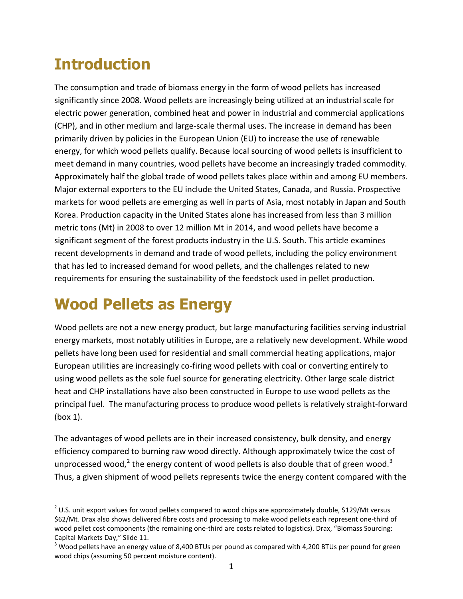# **Introduction**

The consumption and trade of biomass energy in the form of wood pellets has increased significantly since 2008. Wood pellets are increasingly being utilized at an industrial scale for electric power generation, combined heat and power in industrial and commercial applications (CHP), and in other medium and large-scale thermal uses. The increase in demand has been primarily driven by policies in the European Union (EU) to increase the use of renewable energy, for which wood pellets qualify. Because local sourcing of wood pellets is insufficient to meet demand in many countries, wood pellets have become an increasingly traded commodity. Approximately half the global trade of wood pellets takes place within and among EU members. Major external exporters to the EU include the United States, Canada, and Russia. Prospective markets for wood pellets are emerging as well in parts of Asia, most notably in Japan and South Korea. Production capacity in the United States alone has increased from less than 3 million metric tons (Mt) in 2008 to over 12 million Mt in 2014, and wood pellets have become a significant segment of the forest products industry in the U.S. South. This article examines recent developments in demand and trade of wood pellets, including the policy environment that has led to increased demand for wood pellets, and the challenges related to new requirements for ensuring the sustainability of the feedstock used in pellet production.

## **Wood Pellets as Energy**

 $\overline{a}$ 

Wood pellets are not a new energy product, but large manufacturing facilities serving industrial energy markets, most notably utilities in Europe, are a relatively new development. While wood pellets have long been used for residential and small commercial heating applications, major European utilities are increasingly co-firing wood pellets with coal or converting entirely to using wood pellets as the sole fuel source for generating electricity. Other large scale district heat and CHP installations have also been constructed in Europe to use wood pellets as the principal fuel. The manufacturing process to produce wood pellets is relatively straight-forward (box 1).

The advantages of wood pellets are in their increased consistency, bulk density, and energy efficiency compared to burning raw wood directly. Although approximately twice the cost of unprocessed wood,<sup>[2](#page-2-0)</sup> the energy content of wood pellets is also double that of green wood.<sup>[3](#page-2-1)</sup> Thus, a given shipment of wood pellets represents twice the energy content compared with the

<span id="page-2-0"></span> $2$  U.S. unit export values for wood pellets compared to wood chips are approximately double, \$129/Mt versus \$62/Mt. Drax also shows delivered fibre costs and processing to make wood pellets each represent one-third of wood pellet cost components (the remaining one-third are costs related to logistics). Drax, "Biomass Sourcing: Capital Markets Day," Slide 11.

<span id="page-2-1"></span> $3$  Wood pellets have an energy value of 8,400 BTUs per pound as compared with 4,200 BTUs per pound for green wood chips (assuming 50 percent moisture content).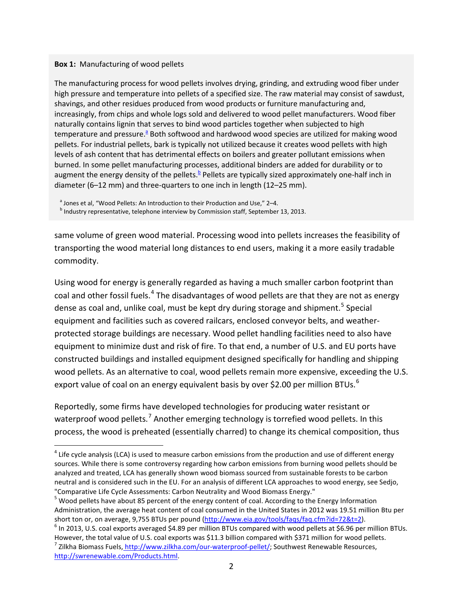#### **Box 1:** Manufacturing of wood pellets

 $\overline{a}$ 

The manufacturing process for wood pellets involves drying, grinding, and extruding wood fiber under high pressure and temperature into pellets of a specified size. The raw material may consist of sawdust, shavings, and other residues produced from wood products or furniture manufacturing and, increasingly, from chips and whole logs sold and delivered to wood pellet manufacturers. Wood fiber naturally contains lignin that serves to bind wood particles together when subjected to high temperature and pressure[.](#page-3-0)<sup>ª</sup> Both softwood and hardwood wood species are utilized for making wood pellets. For industrial pellets, bark is typically not utilized because it creates wood pellets with high levels of ash content that has detrimental effects on boilers and greater pollutant emissions when burned. In some pellet manufacturing processes, additional binders are added for durability or to augment the energy density of the pellets. $b$  Pellets are typically sized approximately one-half inch in diameter (6–12 mm) and three-quarters to one inch in length (12–25 mm).

<span id="page-3-1"></span><span id="page-3-0"></span><sup>a</sup> Jones et al, "Wood Pellets: An Introduction to their Production and Use," 2–4.<br><sup>b</sup> Industry representative, telephone interview by Commission staff, September 13, 2013.

same volume of green wood material. Processing wood into pellets increases the feasibility of transporting the wood material long distances to end users, making it a more easily tradable commodity.

Using wood for energy is generally regarded as having a much smaller carbon footprint than coal and other fossil fuels.<sup>[4](#page-3-2)</sup> The disadvantages of wood pellets are that they are not as energy dense as coal and, unlike coal, must be kept dry during storage and shipment.<sup>[5](#page-3-3)</sup> Special equipment and facilities such as covered railcars, enclosed conveyor belts, and weatherprotected storage buildings are necessary. Wood pellet handling facilities need to also have equipment to minimize dust and risk of fire. To that end, a number of U.S. and EU ports have constructed buildings and installed equipment designed specifically for handling and shipping wood pellets. As an alternative to coal, wood pellets remain more expensive, exceeding the U.S. export value of coal on an energy equivalent basis by over \$2.00 per million BTUs.<sup>[6](#page-3-4)</sup>

Reportedly, some firms have developed technologies for producing water resistant or waterproof wood pellets.<sup>[7](#page-3-5)</sup> Another emerging technology is torrefied wood pellets. In this process, the wood is preheated (essentially charred) to change its chemical composition, thus

<span id="page-3-2"></span> $4$  Life cycle analysis (LCA) is used to measure carbon emissions from the production and use of different energy sources. While there is some controversy regarding how carbon emissions from burning wood pellets should be analyzed and treated, LCA has generally shown wood biomass sourced from sustainable forests to be carbon neutral and is considered such in the EU. For an analysis of different LCA approaches to wood energy, see Sedjo, "Comparative Life Cycle Assessments: Carbon Neutrality and Wood Biomass Energy."<br><sup>5</sup> Wood pellets have about 85 percent of the energy content of coal. According to the Energy Information

<span id="page-3-3"></span>Administration, the average heat content of coal consumed in the United States in 2012 was 19.51 million Btu per short ton or, on average, 9,755 BTUs per pound [\(http://www.eia.gov/tools/faqs/faq.cfm?id=72&t=2\)](http://www.eia.gov/tools/faqs/faq.cfm?id=72&t=2).<br><sup>6</sup> In 2013, U.S. coal exports averaged \$4.89 per million BTUs compared with wood pellets at \$6.96 per million BTUs.

<span id="page-3-5"></span><span id="page-3-4"></span>However, the total value of U.S. coal exports was \$11.3 billion compared with \$371 million for wood pellets.<br><sup>7</sup> Zilkha Biomass Fuels, [http://www.zilkha.com/our-waterproof-pellet/;](http://www.zilkha.com/our-waterproof-pellet/) Southwest Renewable Resources, [http://swrenewable.com/Products.html.](http://swrenewable.com/Products.html)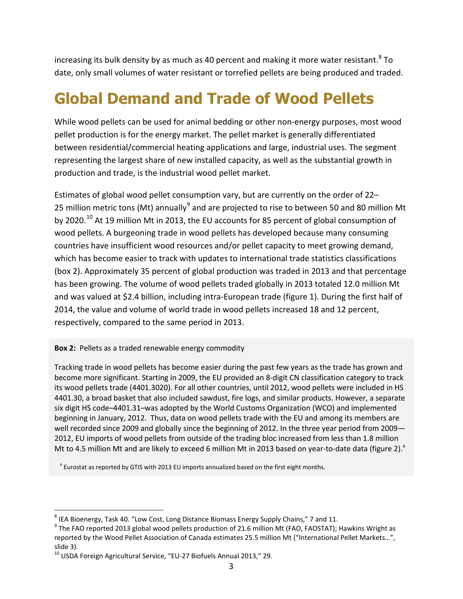increasing its bulk density by as much as 40 percent and making it more water resistant.  $8$  To date, only small volumes of water resistant or torrefied pellets are being produced and traded.

## **Global Demand and Trade of Wood Pellets**

While wood pellets can be used for animal bedding or other non-energy purposes, most wood pellet production is for the energy market. The pellet market is generally differentiated between residential/commercial heating applications and large, industrial uses. The segment representing the largest share of new installed capacity, as well as the substantial growth in production and trade, is the industrial wood pellet market.

Estimates of global wood pellet consumption vary, but are currently on the order of 22– 25 million metric tons (Mt) annually<sup>[9](#page-4-1)</sup> and are projected to rise to between 50 and 80 million Mt by 2020.<sup>[10](#page-4-2)</sup> At 19 million Mt in 2013, the EU accounts for 85 percent of global consumption of wood pellets. A burgeoning trade in wood pellets has developed because many consuming countries have insufficient wood resources and/or pellet capacity to meet growing demand, which has become easier to track with updates to international trade statistics classifications (box 2). Approximately 35 percent of global production was traded in 2013 and that percentage has been growing. The volume of wood pellets traded globally in 2013 totaled 12.0 million Mt and was valued at \$2.4 billion, including intra-European trade (figure 1). During the first half of 2014, the value and volume of world trade in wood pellets increased 18 and 12 percent, respectively, compared to the same period in 2013.

#### **Box 2:** Pellets as a traded renewable energy commodity

Tracking trade in wood pellets has become easier during the past few years as the trade has grown and become more significant. Starting in 2009, the EU provided an 8-digit CN classification category to track its wood pellets trade (4401.3020). For all other countries, until 2012, wood pellets were included in HS 4401.30, a broad basket that also included sawdust, fire logs, and similar products. However, a separate six digit HS code–4401.31–was adopted by the World Customs Organization (WCO) and implemented beginning in January, 2012. Thus, data on wood pellets trade with the EU and among its members are well recorded since 2009 and globally since the beginning of 2012. In the three year period from 2009— 2012, EU imports of wood pellets from outside of the trading bloc increased from less than 1.8 million Mt to 4.5 million Mt and are likely to exceed 6 million Mt in 2013 based on year-to-date data (figure 2).<sup>a</sup>

<sup>a</sup> Eurostat as reported by GTIS with 2013 EU imports annualized based on the first eight months.

<span id="page-4-0"></span> $8$  IEA Bioenergy, Task 40. "Low Cost, Long Distance Biomass Energy Supply Chains," 7 and 11.

<span id="page-4-1"></span> $9$  The FAO reported 2013 global wood pellets production of 21.6 million Mt (FAO, FAOSTAT); Hawkins Wright as reported by the Wood Pellet Association of Canada estimates 25.5 million Mt ("International Pellet Markets…", slide 3).

<span id="page-4-2"></span> $10$  USDA Foreign Agricultural Service, "EU-27 Biofuels Annual 2013," 29.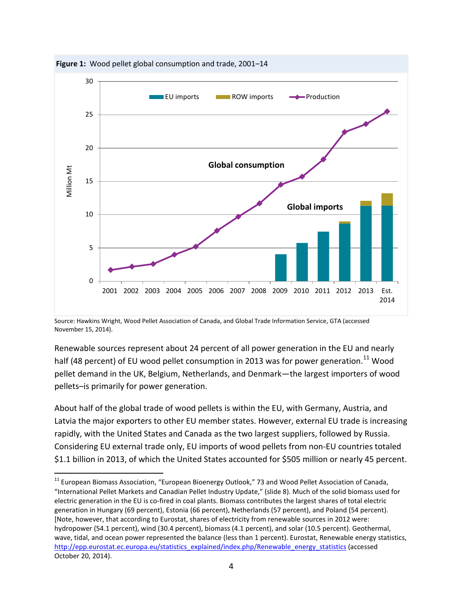

**Figure 1:** Wood pellet global consumption and trade, 2001–14

Source: Hawkins Wright, Wood Pellet Association of Canada, and Global Trade Information Service, GTA (accessed November 15, 2014).

Renewable sources represent about 24 percent of all power generation in the EU and nearly half (48 percent) of EU wood pellet consumption in 2013 was for power generation.<sup>[11](#page-5-0)</sup> Wood pellet demand in the UK, Belgium, Netherlands, and Denmark—the largest importers of wood pellets–is primarily for power generation.

About half of the global trade of wood pellets is within the EU, with Germany, Austria, and Latvia the major exporters to other EU member states. However, external EU trade is increasing rapidly, with the United States and Canada as the two largest suppliers, followed by Russia. Considering EU external trade only, EU imports of wood pellets from non-EU countries totaled \$1.1 billion in 2013, of which the United States accounted for \$505 million or nearly 45 percent.

<span id="page-5-0"></span><sup>&</sup>lt;sup>11</sup> European Biomass Association, "European Bioenergy Outlook," 73 and Wood Pellet Association of Canada, "International Pellet Markets and Canadian Pellet Industry Update," (slide 8). Much of the solid biomass used for electric generation in the EU is co-fired in coal plants. Biomass contributes the largest shares of total electric generation in Hungary (69 percent), Estonia (66 percent), Netherlands (57 percent), and Poland (54 percent). [Note, however, that according to Eurostat, shares of electricity from renewable sources in 2012 were: hydropower (54.1 percent), wind (30.4 percent), biomass (4.1 percent), and solar (10.5 percent). Geothermal, wave, tidal, and ocean power represented the balance (less than 1 percent). Eurostat, Renewable energy statistics, [http://epp.eurostat.ec.europa.eu/statistics\\_explained/index.php/Renewable\\_energy\\_statistics](http://epp.eurostat.ec.europa.eu/statistics_explained/index.php/Renewable_energy_statistics) (accessed October 20, 2014).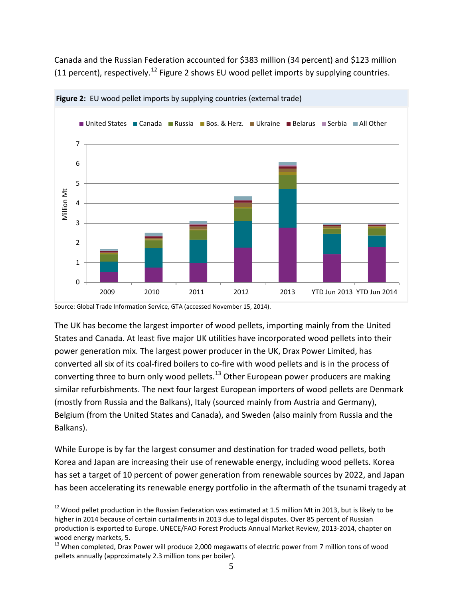Canada and the Russian Federation accounted for \$383 million (34 percent) and \$123 million (11 percent), respectively.<sup>[12](#page-6-0)</sup> Figure 2 shows EU wood pellet imports by supplying countries.





Source: Global Trade Information Service, GTA (accessed November 15, 2014).

 $\overline{a}$ 

The UK has become the largest importer of wood pellets, importing mainly from the United States and Canada. At least five major UK utilities have incorporated wood pellets into their power generation mix. The largest power producer in the UK, Drax Power Limited, has converted all six of its coal-fired boilers to co-fire with wood pellets and is in the process of converting three to burn only wood pellets.<sup>[13](#page-6-1)</sup> Other European power producers are making similar refurbishments. The next four largest European importers of wood pellets are Denmark (mostly from Russia and the Balkans), Italy (sourced mainly from Austria and Germany), Belgium (from the United States and Canada), and Sweden (also mainly from Russia and the Balkans).

While Europe is by far the largest consumer and destination for traded wood pellets, both Korea and Japan are increasing their use of renewable energy, including wood pellets. Korea has set a target of 10 percent of power generation from renewable sources by 2022, and Japan has been accelerating its renewable energy portfolio in the aftermath of the tsunami tragedy at

<span id="page-6-0"></span> $12$  Wood pellet production in the Russian Federation was estimated at 1.5 million Mt in 2013, but is likely to be higher in 2014 because of certain curtailments in 2013 due to legal disputes. Over 85 percent of Russian production is exported to Europe. UNECE/FAO Forest Products Annual Market Review, 2013-2014, chapter on wood energy markets, 5.

<span id="page-6-1"></span><sup>&</sup>lt;sup>13</sup> When completed, Drax Power will produce 2,000 megawatts of electric power from 7 million tons of wood pellets annually (approximately 2.3 million tons per boiler).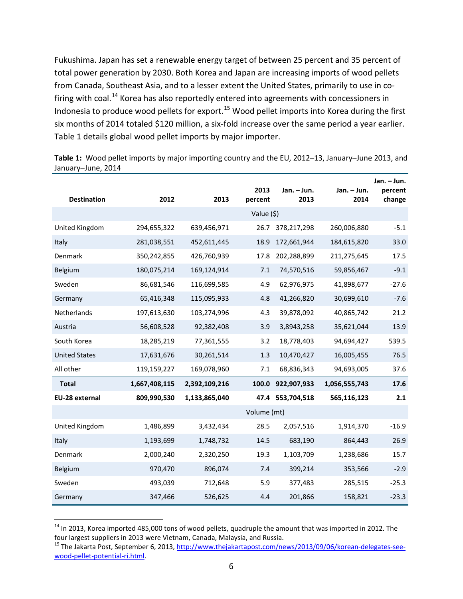Fukushima. Japan has set a renewable energy target of between 25 percent and 35 percent of total power generation by 2030. Both Korea and Japan are increasing imports of wood pellets from Canada, Southeast Asia, and to a lesser extent the United States, primarily to use in co-firing with coal.<sup>[14](#page-7-0)</sup> Korea has also reportedly entered into agreements with concessioners in Indonesia to produce wood pellets for export.<sup>[15](#page-7-1)</sup> Wood pellet imports into Korea during the first six months of 2014 totaled \$120 million, a six-fold increase over the same period a year earlier. Table 1 details global wood pellet imports by major importer.

| <b>Destination</b>   | 2012          | 2013          | 2013<br>percent | Jan. - Jun.<br>2013 | Jan. - Jun.<br>2014 | Jan. - Jun.<br>percent<br>change |  |  |
|----------------------|---------------|---------------|-----------------|---------------------|---------------------|----------------------------------|--|--|
|                      |               |               | Value (\$)      |                     |                     |                                  |  |  |
| United Kingdom       | 294,655,322   | 639,456,971   | 26.7            | 378,217,298         | 260,006,880         | $-5.1$                           |  |  |
| Italy                | 281,038,551   | 452,611,445   | 18.9            | 172,661,944         | 184,615,820         | 33.0                             |  |  |
| Denmark              | 350,242,855   | 426,760,939   | 17.8            | 202,288,899         | 211,275,645         | 17.5                             |  |  |
| Belgium              | 180,075,214   | 169,124,914   | 7.1             | 74,570,516          | 59,856,467          | $-9.1$                           |  |  |
| Sweden               | 86,681,546    | 116,699,585   | 4.9             | 62,976,975          | 41,898,677          | $-27.6$                          |  |  |
| Germany              | 65,416,348    | 115,095,933   | 4.8             | 41,266,820          | 30,699,610          | $-7.6$                           |  |  |
| Netherlands          | 197,613,630   | 103,274,996   | 4.3             | 39,878,092          | 40,865,742          | 21.2                             |  |  |
| Austria              | 56,608,528    | 92,382,408    | 3.9             | 3,8943,258          | 35,621,044          | 13.9                             |  |  |
| South Korea          | 18,285,219    | 77,361,555    | 3.2             | 18,778,403          | 94,694,427          | 539.5                            |  |  |
| <b>United States</b> | 17,631,676    | 30,261,514    | 1.3             | 10,470,427          | 16,005,455          | 76.5                             |  |  |
| All other            | 119,159,227   | 169,078,960   | 7.1             | 68,836,343          | 94,693,005          | 37.6                             |  |  |
| <b>Total</b>         | 1,667,408,115 | 2,392,109,216 | 100.0           | 922,907,933         | 1,056,555,743       | 17.6                             |  |  |
| EU-28 external       | 809,990,530   | 1,133,865,040 | 47.4            | 553,704,518         | 565,116,123         | 2.1                              |  |  |
|                      |               | Volume (mt)   |                 |                     |                     |                                  |  |  |
| United Kingdom       | 1,486,899     | 3,432,434     | 28.5            | 2,057,516           | 1,914,370           | $-16.9$                          |  |  |
| Italy                | 1,193,699     | 1,748,732     | 14.5            | 683,190             | 864,443             | 26.9                             |  |  |
| Denmark              | 2,000,240     | 2,320,250     | 19.3            | 1,103,709           | 1,238,686           | 15.7                             |  |  |
| Belgium              | 970,470       | 896,074       | 7.4             | 399,214             | 353,566             | $-2.9$                           |  |  |
| Sweden               | 493,039       | 712,648       | 5.9             | 377,483             | 285,515             | $-25.3$                          |  |  |
| Germany              | 347,466       | 526,625       | 4.4             | 201,866             | 158,821             | $-23.3$                          |  |  |

**Table 1:** Wood pellet imports by major importing country and the EU, 2012–13, January–June 2013, and January–June, 2014

<span id="page-7-0"></span> $14$  In 2013, Korea imported 485,000 tons of wood pellets, quadruple the amount that was imported in 2012. The four largest suppliers in 2013 were Vietnam, Canada, Malaysia, and Russia.<br><sup>15</sup> The Jakarta Post, September 6, 2013, [http://www.thejakartapost.com/news/2013/09/06/korean-delegates-see-](http://www.thejakartapost.com/news/2013/09/06/korean-delegates-see-wood-pellet-potential-ri.html)

<span id="page-7-1"></span>[wood-pellet-potential-ri.html.](http://www.thejakartapost.com/news/2013/09/06/korean-delegates-see-wood-pellet-potential-ri.html)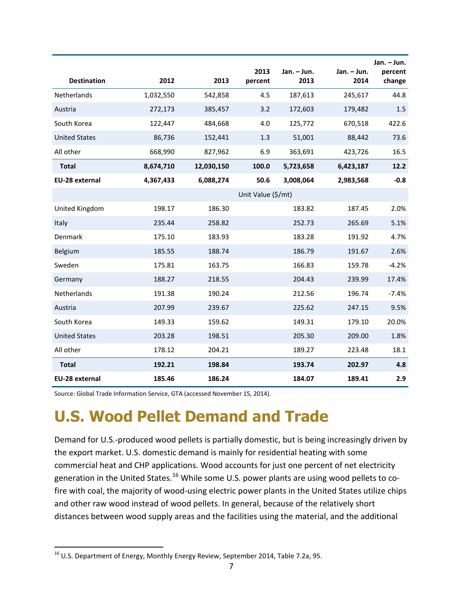| <b>Destination</b>    | 2012      | 2013       | 2013<br>percent    | $Jan. - Jun.$<br>2013 | Jan. - Jun.<br>2014 | Jan. – Jun.<br>percent<br>change |
|-----------------------|-----------|------------|--------------------|-----------------------|---------------------|----------------------------------|
| <b>Netherlands</b>    | 1,032,550 | 542,858    | 4.5                | 187,613               | 245,617             | 44.8                             |
| Austria               | 272,173   | 385,457    | 3.2                | 172,603               | 179,482             | 1.5                              |
| South Korea           | 122,447   | 484,668    | 4.0                | 125,772               | 670,518             | 422.6                            |
| <b>United States</b>  | 86,736    | 152,441    | 1.3                | 51,001                | 88,442              | 73.6                             |
| All other             | 668,990   | 827,962    | 6.9                | 363,691               | 423,726             | 16.5                             |
| <b>Total</b>          | 8,674,710 | 12,030,150 | 100.0              | 5,723,658             | 6,423,187           | 12.2                             |
| EU-28 external        | 4,367,433 | 6,088,274  | 50.6               | 3,008,064             | 2,983,568           | $-0.8$                           |
|                       |           |            | Unit Value (\$/mt) |                       |                     |                                  |
| United Kingdom        | 198.17    | 186.30     |                    | 183.82                | 187.45              | 2.0%                             |
| Italy                 | 235.44    | 258.82     |                    | 252.73                | 265.69              | 5.1%                             |
| Denmark               | 175.10    | 183.93     |                    | 183.28                | 191.92              | 4.7%                             |
| Belgium               | 185.55    | 188.74     |                    | 186.79                | 191.67              | 2.6%                             |
| Sweden                | 175.81    | 163.75     |                    | 166.83                | 159.78              | $-4.2%$                          |
| Germany               | 188.27    | 218.55     |                    | 204.43                | 239.99              | 17.4%                            |
| Netherlands           | 191.38    | 190.24     |                    | 212.56                | 196.74              | $-7.4%$                          |
| Austria               | 207.99    | 239.67     |                    | 225.62                | 247.15              | 9.5%                             |
| South Korea           | 149.33    | 159.62     |                    | 149.31                | 179.10              | 20.0%                            |
| <b>United States</b>  | 203.28    | 198.51     |                    | 205.30                | 209.00              | 1.8%                             |
| All other             | 178.12    | 204.21     |                    | 189.27                | 223.48              | 18.1                             |
| <b>Total</b>          | 192.21    | 198.84     |                    | 193.74                | 202.97              | 4.8                              |
| <b>EU-28 external</b> | 185.46    | 186.24     |                    | 184.07                | 189.41              | 2.9                              |

Source: Global Trade Information Service, GTA (accessed November 15, 2014).

## **U.S. Wood Pellet Demand and Trade**

Demand for U.S.-produced wood pellets is partially domestic, but is being increasingly driven by the export market. U.S. domestic demand is mainly for residential heating with some commercial heat and CHP applications. Wood accounts for just one percent of net electricity generation in the United States.<sup>[16](#page-8-0)</sup> While some U.S. power plants are using wood pellets to cofire with coal, the majority of wood-using electric power plants in the United States utilize chips and other raw wood instead of wood pellets. In general, because of the relatively short distances between wood supply areas and the facilities using the material, and the additional

<span id="page-8-0"></span> $^{16}$  U.S. Department of Energy, Monthly Energy Review, September 2014, Table 7.2a, 95.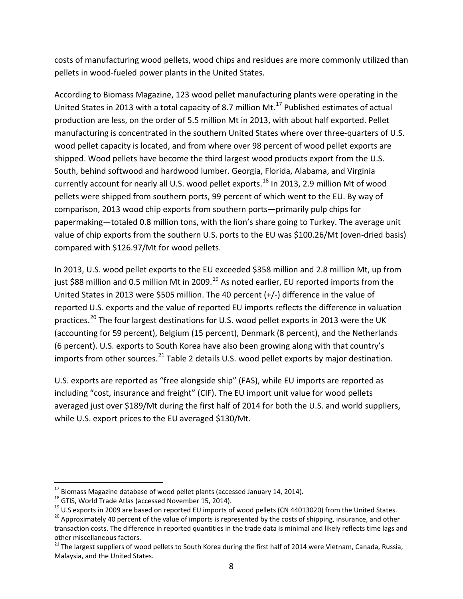costs of manufacturing wood pellets, wood chips and residues are more commonly utilized than pellets in wood-fueled power plants in the United States.

According to Biomass Magazine, 123 wood pellet manufacturing plants were operating in the United States in 2013 with a total capacity of 8.7 million Mt.<sup>[17](#page-9-0)</sup> Published estimates of actual production are less, on the order of 5.5 million Mt in 2013, with about half exported. Pellet manufacturing is concentrated in the southern United States where over three-quarters of U.S. wood pellet capacity is located, and from where over 98 percent of wood pellet exports are shipped. Wood pellets have become the third largest wood products export from the U.S. South, behind softwood and hardwood lumber. Georgia, Florida, Alabama, and Virginia currently account for nearly all U.S. wood pellet exports.<sup>[18](#page-9-1)</sup> In 2013, 2.9 million Mt of wood pellets were shipped from southern ports, 99 percent of which went to the EU. By way of comparison, 2013 wood chip exports from southern ports—primarily pulp chips for papermaking—totaled 0.8 million tons, with the lion's share going to Turkey. The average unit value of chip exports from the southern U.S. ports to the EU was \$100.26/Mt (oven-dried basis) compared with \$126.97/Mt for wood pellets.

In 2013, U.S. wood pellet exports to the EU exceeded \$358 million and 2.8 million Mt, up from just \$88 million and 0.5 million Mt in 2009.<sup>[19](#page-9-2)</sup> As noted earlier, EU reported imports from the United States in 2013 were \$505 million. The 40 percent (+/-) difference in the value of reported U.S. exports and the value of reported EU imports reflects the difference in valuation practices.<sup>[20](#page-9-3)</sup> The four largest destinations for U.S. wood pellet exports in 2013 were the UK (accounting for 59 percent), Belgium (15 percent), Denmark (8 percent), and the Netherlands (6 percent). U.S. exports to South Korea have also been growing along with that country's imports from other sources.<sup>[21](#page-9-4)</sup> Table 2 details U.S. wood pellet exports by major destination.

U.S. exports are reported as "free alongside ship" (FAS), while EU imports are reported as including "cost, insurance and freight" (CIF). The EU import unit value for wood pellets averaged just over \$189/Mt during the first half of 2014 for both the U.S. and world suppliers, while U.S. export prices to the EU averaged \$130/Mt.

<span id="page-9-1"></span>

<span id="page-9-0"></span><sup>&</sup>lt;sup>17</sup> Biomass Magazine database of wood pellet plants (accessed January 14, 2014).<br><sup>18</sup> GTIS, World Trade Atlas (accessed November 15, 2014).<br><sup>19</sup> U.S exports in 2009 are based on reported EU imports of wood pellets (CN 44

<span id="page-9-3"></span><span id="page-9-2"></span>transaction costs. The difference in reported quantities in the trade data is minimal and likely reflects time lags and other miscellaneous factors.

<span id="page-9-4"></span> $21$  The largest suppliers of wood pellets to South Korea during the first half of 2014 were Vietnam, Canada, Russia, Malaysia, and the United States.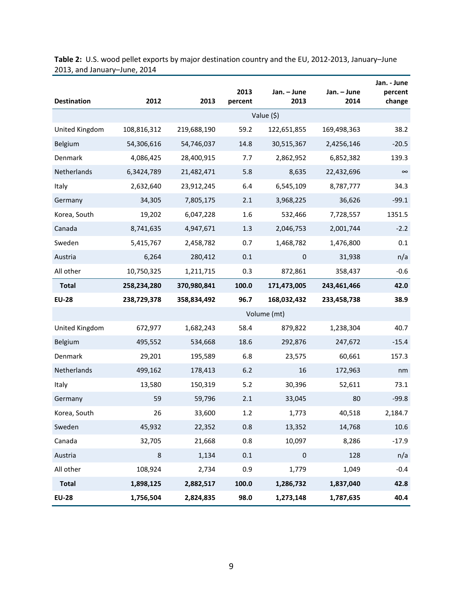|                    |             |             | 2013    | Jan. - June | Jan. - June | Jan. - June<br>percent |  |  |
|--------------------|-------------|-------------|---------|-------------|-------------|------------------------|--|--|
| <b>Destination</b> | 2012        | 2013        | percent | 2013        | 2014        | change                 |  |  |
|                    |             | Value (\$)  |         |             |             |                        |  |  |
| United Kingdom     | 108,816,312 | 219,688,190 | 59.2    | 122,651,855 | 169,498,363 | 38.2                   |  |  |
| Belgium            | 54,306,616  | 54,746,037  | 14.8    | 30,515,367  | 2,4256,146  | $-20.5$                |  |  |
| Denmark            | 4,086,425   | 28,400,915  | 7.7     | 2,862,952   | 6,852,382   | 139.3                  |  |  |
| Netherlands        | 6,3424,789  | 21,482,471  | 5.8     | 8,635       | 22,432,696  | $\infty$               |  |  |
| Italy              | 2,632,640   | 23,912,245  | 6.4     | 6,545,109   | 8,787,777   | 34.3                   |  |  |
| Germany            | 34,305      | 7,805,175   | 2.1     | 3,968,225   | 36,626      | $-99.1$                |  |  |
| Korea, South       | 19,202      | 6,047,228   | 1.6     | 532,466     | 7,728,557   | 1351.5                 |  |  |
| Canada             | 8,741,635   | 4,947,671   | 1.3     | 2,046,753   | 2,001,744   | $-2.2$                 |  |  |
| Sweden             | 5,415,767   | 2,458,782   | 0.7     | 1,468,782   | 1,476,800   | 0.1                    |  |  |
| Austria            | 6,264       | 280,412     | 0.1     | $\mathbf 0$ | 31,938      | n/a                    |  |  |
| All other          | 10,750,325  | 1,211,715   | 0.3     | 872,861     | 358,437     | $-0.6$                 |  |  |
| <b>Total</b>       | 258,234,280 | 370,980,841 | 100.0   | 171,473,005 | 243,461,466 | 42.0                   |  |  |
| <b>EU-28</b>       | 238,729,378 | 358,834,492 | 96.7    | 168,032,432 | 233,458,738 | 38.9                   |  |  |
|                    |             | Volume (mt) |         |             |             |                        |  |  |
| United Kingdom     | 672,977     | 1,682,243   | 58.4    | 879,822     | 1,238,304   | 40.7                   |  |  |
| Belgium            | 495,552     | 534,668     | 18.6    | 292,876     | 247,672     | $-15.4$                |  |  |
| Denmark            | 29,201      | 195,589     | 6.8     | 23,575      | 60,661      | 157.3                  |  |  |
| Netherlands        | 499,162     | 178,413     | 6.2     | 16          | 172,963     | nm                     |  |  |
| Italy              | 13,580      | 150,319     | 5.2     | 30,396      | 52,611      | 73.1                   |  |  |
| Germany            | 59          | 59,796      | 2.1     | 33,045      | 80          | $-99.8$                |  |  |
| Korea, South       | 26          | 33,600      | 1.2     | 1,773       | 40,518      | 2,184.7                |  |  |
| Sweden             | 45,932      | 22,352      | 0.8     | 13,352      | 14,768      | 10.6                   |  |  |
| Canada             | 32,705      | 21,668      | 0.8     | 10,097      | 8,286       | $-17.9$                |  |  |
| Austria            | 8           | 1,134       | 0.1     | $\pmb{0}$   | 128         | n/a                    |  |  |
| All other          | 108,924     | 2,734       | 0.9     | 1,779       | 1,049       | $-0.4$                 |  |  |
| <b>Total</b>       | 1,898,125   | 2,882,517   | 100.0   | 1,286,732   | 1,837,040   | 42.8                   |  |  |
| <b>EU-28</b>       | 1,756,504   | 2,824,835   | 98.0    | 1,273,148   | 1,787,635   | 40.4                   |  |  |

**Table 2:** U.S. wood pellet exports by major destination country and the EU, 2012-2013, January–June 2013, and January–June, 2014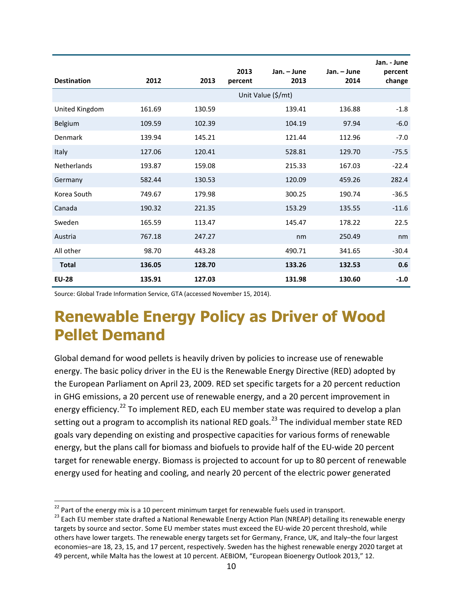| <b>Destination</b> | 2012   | 2013   | 2013<br>percent | Jan. - June<br>2013 | Jan. – June<br>2014 | Jan. - June<br>percent<br>change |
|--------------------|--------|--------|-----------------|---------------------|---------------------|----------------------------------|
|                    |        |        |                 | Unit Value (\$/mt)  |                     |                                  |
| United Kingdom     | 161.69 | 130.59 |                 | 139.41              | 136.88              | $-1.8$                           |
| Belgium            | 109.59 | 102.39 |                 | 104.19              | 97.94               | $-6.0$                           |
| Denmark            | 139.94 | 145.21 |                 | 121.44              | 112.96              | $-7.0$                           |
| Italy              | 127.06 | 120.41 |                 | 528.81              | 129.70              | $-75.5$                          |
| <b>Netherlands</b> | 193.87 | 159.08 |                 | 215.33              | 167.03              | $-22.4$                          |
| Germany            | 582.44 | 130.53 |                 | 120.09              | 459.26              | 282.4                            |
| Korea South        | 749.67 | 179.98 |                 | 300.25              | 190.74              | $-36.5$                          |
| Canada             | 190.32 | 221.35 |                 | 153.29              | 135.55              | $-11.6$                          |
| Sweden             | 165.59 | 113.47 |                 | 145.47              | 178.22              | 22.5                             |
| Austria            | 767.18 | 247.27 |                 | nm                  | 250.49              | nm                               |
| All other          | 98.70  | 443.28 |                 | 490.71              | 341.65              | $-30.4$                          |
| <b>Total</b>       | 136.05 | 128.70 |                 | 133.26              | 132.53              | 0.6                              |
| <b>EU-28</b>       | 135.91 | 127.03 |                 | 131.98              | 130.60              | $-1.0$                           |

Source: Global Trade Information Service, GTA (accessed November 15, 2014).

### **Renewable Energy Policy as Driver of Wood Pellet Demand**

Global demand for wood pellets is heavily driven by policies to increase use of renewable energy. The basic policy driver in the EU is the Renewable Energy Directive (RED) adopted by the European Parliament on April 23, 2009. RED set specific targets for a 20 percent reduction in GHG emissions, a 20 percent use of renewable energy, and a 20 percent improvement in energy efficiency.<sup>[22](#page-11-0)</sup> To implement RED, each EU member state was required to develop a plan setting out a program to accomplish its national RED goals.<sup>[23](#page-11-1)</sup> The individual member state RED goals vary depending on existing and prospective capacities for various forms of renewable energy, but the plans call for biomass and biofuels to provide half of the EU-wide 20 percent target for renewable energy. Biomass is projected to account for up to 80 percent of renewable energy used for heating and cooling, and nearly 20 percent of the electric power generated

<span id="page-11-1"></span>

<span id="page-11-0"></span><sup>&</sup>lt;sup>22</sup> Part of the energy mix is a 10 percent minimum target for renewable fuels used in transport.<br><sup>23</sup> Each EU member state drafted a National Renewable Energy Action Plan (NREAP) detailing its renewable energy targets by source and sector. Some EU member states must exceed the EU-wide 20 percent threshold, while others have lower targets. The renewable energy targets set for Germany, France, UK, and Italy–the four largest economies–are 18, 23, 15, and 17 percent, respectively. Sweden has the highest renewable energy 2020 target at 49 percent, while Malta has the lowest at 10 percent. AEBIOM, "European Bioenergy Outlook 2013," 12.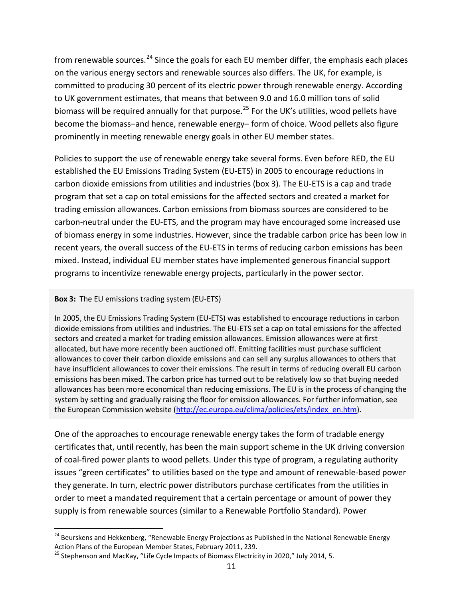from renewable sources.<sup>[24](#page-12-0)</sup> Since the goals for each EU member differ, the emphasis each places on the various energy sectors and renewable sources also differs. The UK, for example, is committed to producing 30 percent of its electric power through renewable energy. According to UK government estimates, that means that between 9.0 and 16.0 million tons of solid biomass will be required annually for that purpose.<sup>[25](#page-12-1)</sup> For the UK's utilities, wood pellets have become the biomass–and hence, renewable energy– form of choice. Wood pellets also figure prominently in meeting renewable energy goals in other EU member states.

Policies to support the use of renewable energy take several forms. Even before RED, the EU established the EU Emissions Trading System (EU-ETS) in 2005 to encourage reductions in carbon dioxide emissions from utilities and industries (box 3). The EU-ETS is a cap and trade program that set a cap on total emissions for the affected sectors and created a market for trading emission allowances. Carbon emissions from biomass sources are considered to be carbon-neutral under the EU-ETS, and the program may have encouraged some increased use of biomass energy in some industries. However, since the tradable carbon price has been low in recent years, the overall success of the EU-ETS in terms of reducing carbon emissions has been mixed. Instead, individual EU member states have implemented generous financial support programs to incentivize renewable energy projects, particularly in the power sector.

#### **Box 3:** The EU emissions trading system (EU-ETS)

 $\overline{a}$ 

In 2005, the EU Emissions Trading System (EU-ETS) was established to encourage reductions in carbon dioxide emissions from utilities and industries. The EU-ETS set a cap on total emissions for the affected sectors and created a market for trading emission allowances. Emission allowances were at first allocated, but have more recently been auctioned off. Emitting facilities must purchase sufficient allowances to cover their carbon dioxide emissions and can sell any surplus allowances to others that have insufficient allowances to cover their emissions. The result in terms of reducing overall EU carbon emissions has been mixed. The carbon price has turned out to be relatively low so that buying needed allowances has been more economical than reducing emissions. The EU is in the process of changing the system by setting and gradually raising the floor for emission allowances. For further information, see the European Commission website [\(http://ec.europa.eu/clima/policies/ets/index\\_en.htm\)](http://ec.europa.eu/clima/policies/ets/index_en.htm).

One of the approaches to encourage renewable energy takes the form of tradable energy certificates that, until recently, has been the main support scheme in the UK driving conversion of coal-fired power plants to wood pellets. Under this type of program, a regulating authority issues "green certificates" to utilities based on the type and amount of renewable-based power they generate. In turn, electric power distributors purchase certificates from the utilities in order to meet a mandated requirement that a certain percentage or amount of power they supply is from renewable sources (similar to a Renewable Portfolio Standard). Power

<span id="page-12-0"></span><sup>&</sup>lt;sup>24</sup> Beurskens and Hekkenberg, "Renewable Energy Projections as Published in the National Renewable Energy Action Plans of the European Member States, February 2011, 239.

<span id="page-12-1"></span><sup>&</sup>lt;sup>25</sup> Stephenson and MacKay, "Life Cycle Impacts of Biomass Electricity in 2020," July 2014, 5.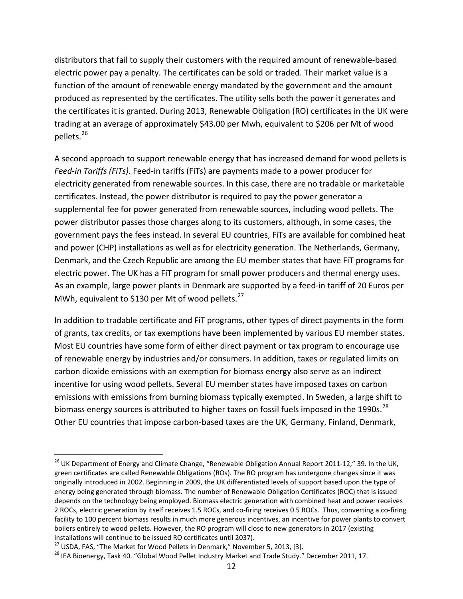distributors that fail to supply their customers with the required amount of renewable-based electric power pay a penalty. The certificates can be sold or traded. Their market value is a function of the amount of renewable energy mandated by the government and the amount produced as represented by the certificates. The utility sells both the power it generates and the certificates it is granted. During 2013, Renewable Obligation (RO) certificates in the UK were trading at an average of approximately \$43.00 per Mwh, equivalent to \$206 per Mt of wood pellets.[26](#page-13-0)

A second approach to support renewable energy that has increased demand for wood pellets is *Feed-in Tariffs (FiTs)*. Feed-in tariffs (FiTs) are payments made to a power producer for electricity generated from renewable sources. In this case, there are no tradable or marketable certificates. Instead, the power distributor is required to pay the power generator a supplemental fee for power generated from renewable sources, including wood pellets. The power distributor passes those charges along to its customers, although, in some cases, the government pays the fees instead. In several EU countries, FiTs are available for combined heat and power (CHP) installations as well as for electricity generation. The Netherlands, Germany, Denmark, and the Czech Republic are among the EU member states that have FiT programs for electric power. The UK has a FiT program for small power producers and thermal energy uses. As an example, large power plants in Denmark are supported by a feed-in tariff of 20 Euros per MWh, equivalent to \$130 per Mt of wood pellets.<sup>[27](#page-13-1)</sup>

In addition to tradable certificate and FiT programs, other types of direct payments in the form of grants, tax credits, or tax exemptions have been implemented by various EU member states. Most EU countries have some form of either direct payment or tax program to encourage use of renewable energy by industries and/or consumers. In addition, taxes or regulated limits on carbon dioxide emissions with an exemption for biomass energy also serve as an indirect incentive for using wood pellets. Several EU member states have imposed taxes on carbon emissions with emissions from burning biomass typically exempted. In Sweden, a large shift to biomass energy sources is attributed to higher taxes on fossil fuels imposed in the 1990s.<sup>[28](#page-13-2)</sup> Other EU countries that impose carbon-based taxes are the UK, Germany, Finland, Denmark,

<span id="page-13-0"></span><sup>&</sup>lt;sup>26</sup> UK Department of Energy and Climate Change, "Renewable Obligation Annual Report 2011-12," 39. In the UK, green certificates are called Renewable Obligations (ROs). The RO program has undergone changes since it was originally introduced in 2002. Beginning in 2009, the UK differentiated levels of support based upon the type of energy being generated through biomass. The number of Renewable Obligation Certificates (ROC) that is issued depends on the technology being employed. Biomass electric generation with combined heat and power receives 2 ROCs, electric generation by itself receives 1.5 ROCs, and co-firing receives 0.5 ROCs. Thus, converting a co-firing facility to 100 percent biomass results in much more generous incentives, an incentive for power plants to convert boilers entirely to wood pellets. However, the RO program will close to new generators in 2017 (existing installations will continue to be issued RO certificates until 2037).<br><sup>27</sup> USDA, FAS, "The Market for Wood Pellets in Denmark," November 5, 2013, [3].

<span id="page-13-1"></span>

<span id="page-13-2"></span><sup>&</sup>lt;sup>28</sup> IEA Bioenergy, Task 40. "Global Wood Pellet Industry Market and Trade Study." December 2011, 17.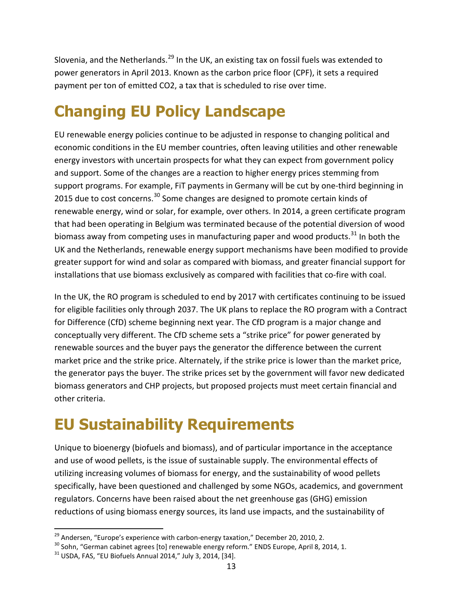Slovenia, and the Netherlands.<sup>[29](#page-14-0)</sup> In the UK, an existing tax on fossil fuels was extended to power generators in April 2013. Known as the carbon price floor (CPF), it sets a required payment per ton of emitted CO2, a tax that is scheduled to rise over time.

## **Changing EU Policy Landscape**

EU renewable energy policies continue to be adjusted in response to changing political and economic conditions in the EU member countries, often leaving utilities and other renewable energy investors with uncertain prospects for what they can expect from government policy and support. Some of the changes are a reaction to higher energy prices stemming from support programs. For example, FiT payments in Germany will be cut by one-third beginning in 2015 due to cost concerns.<sup>[30](#page-14-1)</sup> Some changes are designed to promote certain kinds of renewable energy, wind or solar, for example, over others. In 2014, a green certificate program that had been operating in Belgium was terminated because of the potential diversion of wood biomass away from competing uses in manufacturing paper and wood products.<sup>[31](#page-14-2)</sup> In both the UK and the Netherlands, renewable energy support mechanisms have been modified to provide greater support for wind and solar as compared with biomass, and greater financial support for installations that use biomass exclusively as compared with facilities that co-fire with coal.

In the UK, the RO program is scheduled to end by 2017 with certificates continuing to be issued for eligible facilities only through 2037. The UK plans to replace the RO program with a Contract for Difference (CfD) scheme beginning next year. The CfD program is a major change and conceptually very different. The CfD scheme sets a "strike price" for power generated by renewable sources and the buyer pays the generator the difference between the current market price and the strike price. Alternately, if the strike price is lower than the market price, the generator pays the buyer. The strike prices set by the government will favor new dedicated biomass generators and CHP projects, but proposed projects must meet certain financial and other criteria.

## **EU Sustainability Requirements**

Unique to bioenergy (biofuels and biomass), and of particular importance in the acceptance and use of wood pellets, is the issue of sustainable supply. The environmental effects of utilizing increasing volumes of biomass for energy, and the sustainability of wood pellets specifically, have been questioned and challenged by some NGOs, academics, and government regulators. Concerns have been raised about the net greenhouse gas (GHG) emission reductions of using biomass energy sources, its land use impacts, and the sustainability of

 $\overline{a}$ 

<span id="page-14-1"></span><span id="page-14-0"></span><sup>&</sup>lt;sup>29</sup> Andersen, "Europe's experience with carbon-energy taxation," December 20, 2010, 2.<br><sup>30</sup> Sohn, "German cabinet agrees [to] renewable energy reform." ENDS Europe, April 8, 2014, 1.<br><sup>31</sup> USDA, FAS, "EU Biofuels Annual 2

<span id="page-14-2"></span>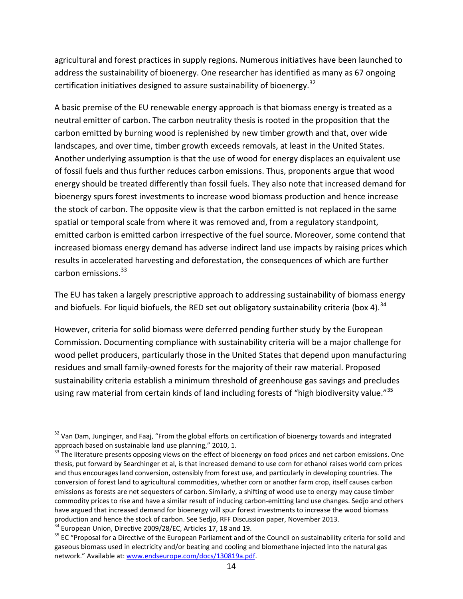agricultural and forest practices in supply regions. Numerous initiatives have been launched to address the sustainability of bioenergy. One researcher has identified as many as 67 ongoing certification initiatives designed to assure sustainability of bioenergy.<sup>[32](#page-15-0)</sup>

A basic premise of the EU renewable energy approach is that biomass energy is treated as a neutral emitter of carbon. The carbon neutrality thesis is rooted in the proposition that the carbon emitted by burning wood is replenished by new timber growth and that, over wide landscapes, and over time, timber growth exceeds removals, at least in the United States. Another underlying assumption is that the use of wood for energy displaces an equivalent use of fossil fuels and thus further reduces carbon emissions. Thus, proponents argue that wood energy should be treated differently than fossil fuels. They also note that increased demand for bioenergy spurs forest investments to increase wood biomass production and hence increase the stock of carbon. The opposite view is that the carbon emitted is not replaced in the same spatial or temporal scale from where it was removed and, from a regulatory standpoint, emitted carbon is emitted carbon irrespective of the fuel source. Moreover, some contend that increased biomass energy demand has adverse indirect land use impacts by raising prices which results in accelerated harvesting and deforestation, the consequences of which are further carbon emissions.<sup>[33](#page-15-1)</sup>

The EU has taken a largely prescriptive approach to addressing sustainability of biomass energy and biofuels. For liquid biofuels, the RED set out obligatory sustainability criteria (box 4).<sup>[34](#page-15-2)</sup>

However, criteria for solid biomass were deferred pending further study by the European Commission. Documenting compliance with sustainability criteria will be a major challenge for wood pellet producers, particularly those in the United States that depend upon manufacturing residues and small family-owned forests for the majority of their raw material. Proposed sustainability criteria establish a minimum threshold of greenhouse gas savings and precludes using raw material from certain kinds of land including forests of "high biodiversity value."<sup>[35](#page-15-3)</sup>

<span id="page-15-0"></span><sup>&</sup>lt;sup>32</sup> Van Dam, Junginger, and Faaj, "From the global efforts on certification of bioenergy towards and integrated approach based on sustainable land use planning," 2010, 1.  $\overline{a}$ 

<span id="page-15-1"></span> $33$  The literature presents opposing views on the effect of bioenergy on food prices and net carbon emissions. One thesis, put forward by Searchinger et al, is that increased demand to use corn for ethanol raises world corn prices and thus encourages land conversion, ostensibly from forest use, and particularly in developing countries. The conversion of forest land to agricultural commodities, whether corn or another farm crop, itself causes carbon emissions as forests are net sequesters of carbon. Similarly, a shifting of wood use to energy may cause timber commodity prices to rise and have a similar result of inducing carbon-emitting land use changes. Sedjo and others have argued that increased demand for bioenergy will spur forest investments to increase the wood biomass production and hence the stock of carbon. See Sedjo, RFF Discussion paper, November 2013.<br><sup>34</sup> European Union, Directive 2009/28/EC, Articles 17, 18 and 19.

<span id="page-15-2"></span>

<span id="page-15-3"></span><sup>&</sup>lt;sup>35</sup> EC "Proposal for a Directive of the European Parliament and of the Council on sustainability criteria for solid and gaseous biomass used in electricity and/or beating and cooling and biomethane injected into the natural gas network." Available at[: www.endseurope.com/docs/130819a.pdf.](http://www.endseurope.com/docs/130819a.pdf)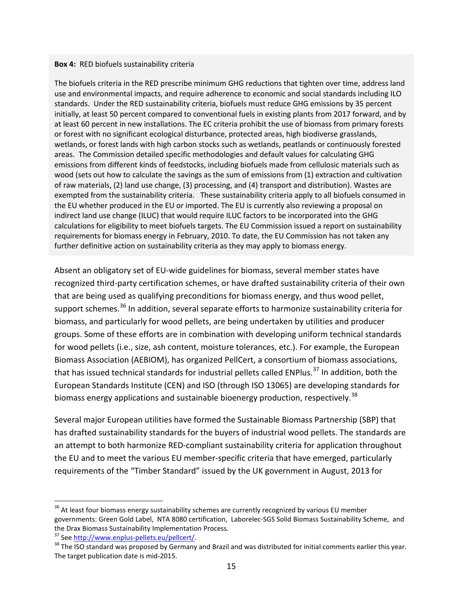#### **Box 4:** RED biofuels sustainability criteria

The biofuels criteria in the RED prescribe minimum GHG reductions that tighten over time, address land use and environmental impacts, and require adherence to economic and social standards including ILO standards. Under the RED sustainability criteria, biofuels must reduce GHG emissions by 35 percent initially, at least 50 percent compared to conventional fuels in existing plants from 2017 forward, and by at least 60 percent in new installations. The EC criteria prohibit the use of biomass from primary forests or forest with no significant ecological disturbance, protected areas, high biodiverse grasslands, wetlands, or forest lands with high carbon stocks such as wetlands, peatlands or continuously forested areas. The Commission detailed specific methodologies and default values for calculating GHG emissions from different kinds of feedstocks, including biofuels made from cellulosic materials such as wood (sets out how to calculate the savings as the sum of emissions from (1) extraction and cultivation of raw materials, (2) land use change, (3) processing, and (4) transport and distribution). Wastes are exempted from the sustainability criteria. These sustainability criteria apply to all biofuels consumed in the EU whether produced in the EU or imported. The EU is currently also reviewing a proposal on indirect land use change (ILUC) that would require ILUC factors to be incorporated into the GHG calculations for eligibility to meet biofuels targets. The EU Commission issued a report on sustainability requirements for biomass energy in February, 2010. To date, the EU Commission has not taken any further definitive action on sustainability criteria as they may apply to biomass energy.

Absent an obligatory set of EU-wide guidelines for biomass, several member states have recognized third-party certification schemes, or have drafted sustainability criteria of their own that are being used as qualifying preconditions for biomass energy, and thus wood pellet, support schemes.<sup>[36](#page-16-0)</sup> In addition, several separate efforts to harmonize sustainability criteria for biomass, and particularly for wood pellets, are being undertaken by utilities and producer groups. Some of these efforts are in combination with developing uniform technical standards for wood pellets (i.e., size, ash content, moisture tolerances, etc.). For example, the European Biomass Association (AEBIOM), has organized PellCert, a consortium of biomass associations, that has issued technical standards for industrial pellets called ENPlus.<sup>[37](#page-16-1)</sup> In addition, both the European Standards Institute (CEN) and ISO (through ISO 13065) are developing standards for biomass energy applications and sustainable bioenergy production, respectively.<sup>[38](#page-16-2)</sup>

Several major European utilities have formed the Sustainable Biomass Partnership (SBP) that has drafted sustainability standards for the buyers of industrial wood pellets. The standards are an attempt to both harmonize RED-compliant sustainability criteria for application throughout the EU and to meet the various EU member-specific criteria that have emerged, particularly requirements of the "Timber Standard" issued by the UK government in August, 2013 for

<span id="page-16-0"></span> $36$  At least four biomass energy sustainability schemes are currently recognized by various EU member governments: Green Gold Label, NTA 8080 certification, Laborelec-SGS Solid Biomass Sustainability Scheme, and the Drax Biomass Sustainability Implementation Process.<br><sup>37</sup> Se[e http://www.enplus-pellets.eu/pellcert/.](http://www.enplus-pellets.eu/pellcert/)<br><sup>38</sup> The ISO standard was proposed by Germany and Brazil and was distributed for initial comments earlier this year.

<span id="page-16-1"></span>

<span id="page-16-2"></span>The target publication date is mid-2015.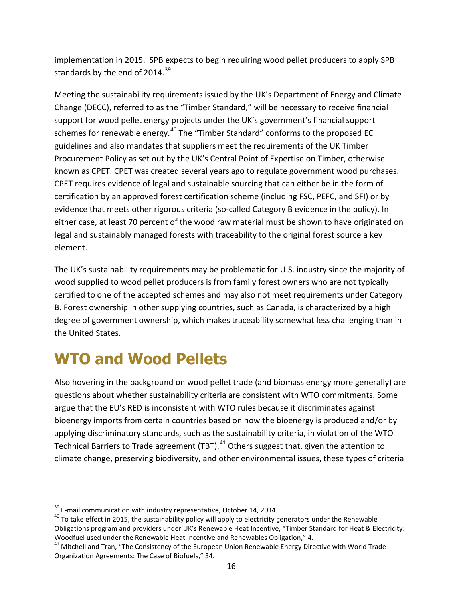implementation in 2015. SPB expects to begin requiring wood pellet producers to apply SPB standards by the end of  $2014.<sup>39</sup>$  $2014.<sup>39</sup>$  $2014.<sup>39</sup>$ 

Meeting the sustainability requirements issued by the UK's Department of Energy and Climate Change (DECC), referred to as the "Timber Standard," will be necessary to receive financial support for wood pellet energy projects under the UK's government's financial support schemes for renewable energy.<sup>[40](#page-17-1)</sup> The "Timber Standard" conforms to the proposed EC guidelines and also mandates that suppliers meet the requirements of the UK Timber Procurement Policy as set out by the UK's Central Point of Expertise on Timber, otherwise known as CPET. CPET was created several years ago to regulate government wood purchases. CPET requires evidence of legal and sustainable sourcing that can either be in the form of certification by an approved forest certification scheme (including FSC, PEFC, and SFI) or by evidence that meets other rigorous criteria (so-called Category B evidence in the policy). In either case, at least 70 percent of the wood raw material must be shown to have originated on legal and sustainably managed forests with traceability to the original forest source a key element.

The UK's sustainability requirements may be problematic for U.S. industry since the majority of wood supplied to wood pellet producers is from family forest owners who are not typically certified to one of the accepted schemes and may also not meet requirements under Category B. Forest ownership in other supplying countries, such as Canada, is characterized by a high degree of government ownership, which makes traceability somewhat less challenging than in the United States.

## **WTO and Wood Pellets**

Also hovering in the background on wood pellet trade (and biomass energy more generally) are questions about whether sustainability criteria are consistent with WTO commitments. Some argue that the EU's RED is inconsistent with WTO rules because it discriminates against bioenergy imports from certain countries based on how the bioenergy is produced and/or by applying discriminatory standards, such as the sustainability criteria, in violation of the WTO Technical Barriers to Trade agreement (TBT). $41$  Others suggest that, given the attention to climate change, preserving biodiversity, and other environmental issues, these types of criteria

<span id="page-17-1"></span><span id="page-17-0"></span><sup>&</sup>lt;sup>39</sup> E-mail communication with industry representative, October 14, 2014.<br><sup>40</sup> To take effect in 2015, the sustainability policy will apply to electricity generators under the Renewable Obligations program and providers under UK's Renewable Heat Incentive, "Timber Standard for Heat & Electricity: Woodfuel used under the Renewable Heat Incentive and Renewables Obligation," 4.

<span id="page-17-2"></span> $41$  Mitchell and Tran, "The Consistency of the European Union Renewable Energy Directive with World Trade Organization Agreements: The Case of Biofuels," 34.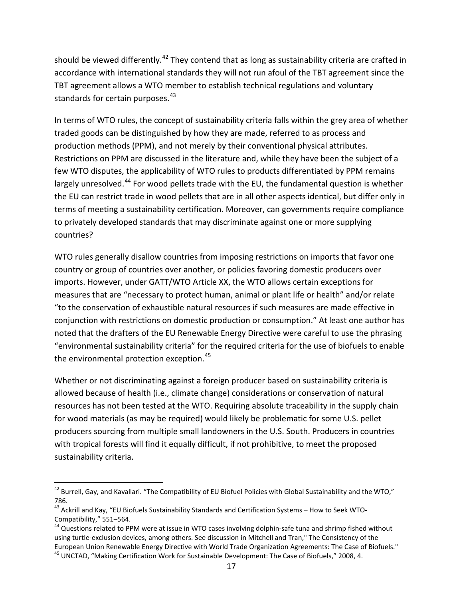should be viewed differently.<sup>[42](#page-18-0)</sup> They contend that as long as sustainability criteria are crafted in accordance with international standards they will not run afoul of the TBT agreement since the TBT agreement allows a WTO member to establish technical regulations and voluntary standards for certain purposes.<sup>[43](#page-18-1)</sup>

In terms of WTO rules, the concept of sustainability criteria falls within the grey area of whether traded goods can be distinguished by how they are made, referred to as process and production methods (PPM), and not merely by their conventional physical attributes. Restrictions on PPM are discussed in the literature and, while they have been the subject of a few WTO disputes, the applicability of WTO rules to products differentiated by PPM remains largely unresolved.<sup>[44](#page-18-2)</sup> For wood pellets trade with the EU, the fundamental question is whether the EU can restrict trade in wood pellets that are in all other aspects identical, but differ only in terms of meeting a sustainability certification. Moreover, can governments require compliance to privately developed standards that may discriminate against one or more supplying countries?

WTO rules generally disallow countries from imposing restrictions on imports that favor one country or group of countries over another, or policies favoring domestic producers over imports. However, under GATT/WTO Article XX, the WTO allows certain exceptions for measures that are "necessary to protect human, animal or plant life or health" and/or relate "to the conservation of exhaustible natural resources if such measures are made effective in conjunction with restrictions on domestic production or consumption." At least one author has noted that the drafters of the EU Renewable Energy Directive were careful to use the phrasing "environmental sustainability criteria" for the required criteria for the use of biofuels to enable the environmental protection exception.<sup>[45](#page-18-3)</sup>

Whether or not discriminating against a foreign producer based on sustainability criteria is allowed because of health (i.e., climate change) considerations or conservation of natural resources has not been tested at the WTO. Requiring absolute traceability in the supply chain for wood materials (as may be required) would likely be problematic for some U.S. pellet producers sourcing from multiple small landowners in the U.S. South. Producers in countries with tropical forests will find it equally difficult, if not prohibitive, to meet the proposed sustainability criteria.

<span id="page-18-0"></span> $42$  Burrell, Gay, and Kavallari. "The Compatibility of EU Biofuel Policies with Global Sustainability and the WTO," 786.

<span id="page-18-1"></span><sup>&</sup>lt;sup>43</sup> Ackrill and Kay, "EU Biofuels Sustainability Standards and Certification Systems - How to Seek WTO-Compatibility," 551–564.<br><sup>44</sup> Questions related to PPM were at issue in WTO cases involving dolphin-safe tuna and shrimp fished without

<span id="page-18-3"></span><span id="page-18-2"></span>using turtle-exclusion devices, among others. See discussion in Mitchell and Tran," The Consistency of the<br>European Union Renewable Energy Directive with World Trade Organization Agreements: The Case of Biofuels." <sup>45</sup> UNCTAD, "Making Certification Work for Sustainable Development: The Case of Biofuels," 2008, 4.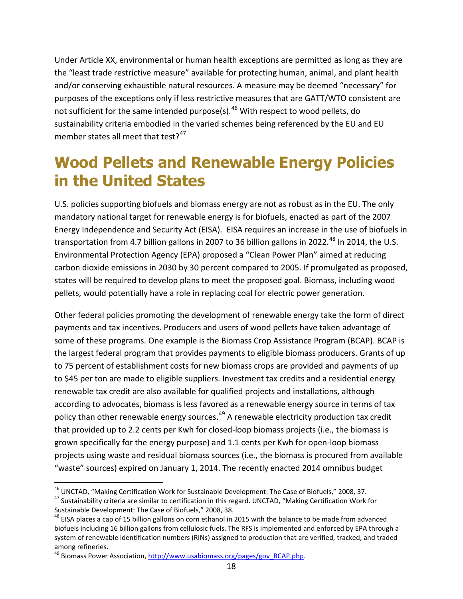Under Article XX, environmental or human health exceptions are permitted as long as they are the "least trade restrictive measure" available for protecting human, animal, and plant health and/or conserving exhaustible natural resources. A measure may be deemed "necessary" for purposes of the exceptions only if less restrictive measures that are GATT/WTO consistent are not sufficient for the same intended purpose(s). $46$  With respect to wood pellets, do sustainability criteria embodied in the varied schemes being referenced by the EU and EU member states all meet that test? $47$ 

### **Wood Pellets and Renewable Energy Policies in the United States**

U.S. policies supporting biofuels and biomass energy are not as robust as in the EU. The only mandatory national target for renewable energy is for biofuels, enacted as part of the 2007 Energy Independence and Security Act (EISA). EISA requires an increase in the use of biofuels in transportation from 4.7 billion gallons in 2007 to 36 billion gallons in 2022.<sup>[48](#page-19-2)</sup> In 2014, the U.S. Environmental Protection Agency (EPA) proposed a "Clean Power Plan" aimed at reducing carbon dioxide emissions in 2030 by 30 percent compared to 2005. If promulgated as proposed, states will be required to develop plans to meet the proposed goal. Biomass, including wood pellets, would potentially have a role in replacing coal for electric power generation.

Other federal policies promoting the development of renewable energy take the form of direct payments and tax incentives. Producers and users of wood pellets have taken advantage of some of these programs. One example is the Biomass Crop Assistance Program (BCAP). BCAP is the largest federal program that provides payments to eligible biomass producers. Grants of up to 75 percent of establishment costs for new biomass crops are provided and payments of up to \$45 per ton are made to eligible suppliers. Investment tax credits and a residential energy renewable tax credit are also available for qualified projects and installations, although according to advocates, biomass is less favored as a renewable energy source in terms of tax policy than other renewable energy sources.<sup>[49](#page-19-3)</sup> A renewable electricity production tax credit that provided up to 2.2 cents per Kwh for closed-loop biomass projects (i.e., the biomass is grown specifically for the energy purpose) and 1.1 cents per Kwh for open-loop biomass projects using waste and residual biomass sources (i.e., the biomass is procured from available "waste" sources) expired on January 1, 2014. The recently enacted 2014 omnibus budget

<span id="page-19-0"></span><sup>&</sup>lt;sup>46</sup> UNCTAD, "Making Certification Work for Sustainable Development: The Case of Biofuels," 2008, 37.<br><sup>47</sup> Sustainability criteria are similar to certification in this regard. UNCTAD, "Making Certification Work for  $\overline{a}$ 

<span id="page-19-1"></span>Sustainable Development: The Case of Biofuels," 2008, 38.<br><sup>48</sup> EISA places a cap of 15 billion gallons on corn ethanol in 2015 with the balance to be made from advanced

<span id="page-19-2"></span>biofuels including 16 billion gallons from cellulosic fuels. The RFS is implemented and enforced by EPA through a system of renewable identification numbers (RINs) assigned to production that are verified, tracked, and traded among refineries.

<span id="page-19-3"></span><sup>&</sup>lt;sup>49</sup> Biomass Power Association, [http://www.usabiomass.org/pages/gov\\_BCAP.php.](http://www.usabiomass.org/pages/gov_BCAP.php)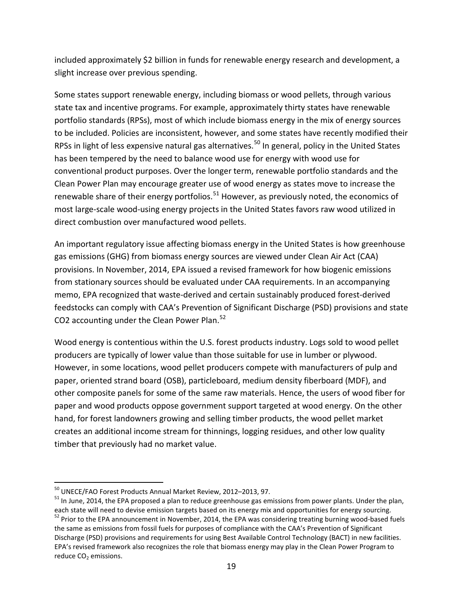included approximately \$2 billion in funds for renewable energy research and development, a slight increase over previous spending.

Some states support renewable energy, including biomass or wood pellets, through various state tax and incentive programs. For example, approximately thirty states have renewable portfolio standards (RPSs), most of which include biomass energy in the mix of energy sources to be included. Policies are inconsistent, however, and some states have recently modified their RPSs in light of less expensive natural gas alternatives.<sup>[50](#page-20-0)</sup> In general, policy in the United States has been tempered by the need to balance wood use for energy with wood use for conventional product purposes. Over the longer term, renewable portfolio standards and the Clean Power Plan may encourage greater use of wood energy as states move to increase the renewable share of their energy portfolios.<sup>[51](#page-20-1)</sup> However, as previously noted, the economics of most large-scale wood-using energy projects in the United States favors raw wood utilized in direct combustion over manufactured wood pellets.

An important regulatory issue affecting biomass energy in the United States is how greenhouse gas emissions (GHG) from biomass energy sources are viewed under Clean Air Act (CAA) provisions. In November, 2014, EPA issued a revised framework for how biogenic emissions from stationary sources should be evaluated under CAA requirements. In an accompanying memo, EPA recognized that waste-derived and certain sustainably produced forest-derived feedstocks can comply with CAA's Prevention of Significant Discharge (PSD) provisions and state CO2 accounting under the Clean Power Plan.<sup>[52](#page-20-2)</sup>

Wood energy is contentious within the U.S. forest products industry. Logs sold to wood pellet producers are typically of lower value than those suitable for use in lumber or plywood. However, in some locations, wood pellet producers compete with manufacturers of pulp and paper, oriented strand board (OSB), particleboard, medium density fiberboard (MDF), and other composite panels for some of the same raw materials. Hence, the users of wood fiber for paper and wood products oppose government support targeted at wood energy. On the other hand, for forest landowners growing and selling timber products, the wood pellet market creates an additional income stream for thinnings, logging residues, and other low quality timber that previously had no market value.

<span id="page-20-1"></span><span id="page-20-0"></span><sup>&</sup>lt;sup>50</sup> UNECE/FAO Forest Products Annual Market Review, 2012–2013, 97.<br><sup>51</sup> In June, 2014, the EPA proposed a plan to reduce greenhouse gas emissions from power plants. Under the plan, each state will need to devise emission targets based on its energy mix and opportunities for energy sourcing.

<span id="page-20-2"></span><sup>&</sup>lt;sup>52</sup> Prior to the EPA announcement in November, 2014, the EPA was considering treating burning wood-based fuels the same as emissions from fossil fuels for purposes of compliance with the CAA's Prevention of Significant Discharge (PSD) provisions and requirements for using Best Available Control Technology (BACT) in new facilities. EPA's revised framework also recognizes the role that biomass energy may play in the Clean Power Program to reduce CO<sub>2</sub> emissions.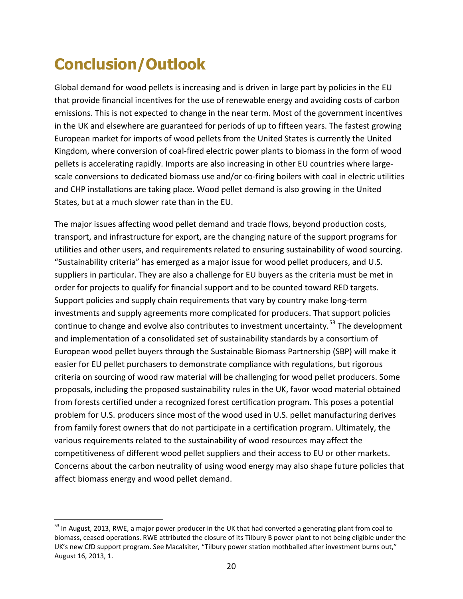# **Conclusion/Outlook**

 $\overline{a}$ 

Global demand for wood pellets is increasing and is driven in large part by policies in the EU that provide financial incentives for the use of renewable energy and avoiding costs of carbon emissions. This is not expected to change in the near term. Most of the government incentives in the UK and elsewhere are guaranteed for periods of up to fifteen years. The fastest growing European market for imports of wood pellets from the United States is currently the United Kingdom, where conversion of coal-fired electric power plants to biomass in the form of wood pellets is accelerating rapidly. Imports are also increasing in other EU countries where largescale conversions to dedicated biomass use and/or co-firing boilers with coal in electric utilities and CHP installations are taking place. Wood pellet demand is also growing in the United States, but at a much slower rate than in the EU.

The major issues affecting wood pellet demand and trade flows, beyond production costs, transport, and infrastructure for export, are the changing nature of the support programs for utilities and other users, and requirements related to ensuring sustainability of wood sourcing. "Sustainability criteria" has emerged as a major issue for wood pellet producers, and U.S. suppliers in particular. They are also a challenge for EU buyers as the criteria must be met in order for projects to qualify for financial support and to be counted toward RED targets. Support policies and supply chain requirements that vary by country make long-term investments and supply agreements more complicated for producers. That support policies continue to change and evolve also contributes to investment uncertainty.<sup>[53](#page-21-0)</sup> The development and implementation of a consolidated set of sustainability standards by a consortium of European wood pellet buyers through the Sustainable Biomass Partnership (SBP) will make it easier for EU pellet purchasers to demonstrate compliance with regulations, but rigorous criteria on sourcing of wood raw material will be challenging for wood pellet producers. Some proposals, including the proposed sustainability rules in the UK, favor wood material obtained from forests certified under a recognized forest certification program. This poses a potential problem for U.S. producers since most of the wood used in U.S. pellet manufacturing derives from family forest owners that do not participate in a certification program. Ultimately, the various requirements related to the sustainability of wood resources may affect the competitiveness of different wood pellet suppliers and their access to EU or other markets. Concerns about the carbon neutrality of using wood energy may also shape future policies that affect biomass energy and wood pellet demand.

<span id="page-21-0"></span><sup>&</sup>lt;sup>53</sup> In August, 2013, RWE, a major power producer in the UK that had converted a generating plant from coal to biomass, ceased operations. RWE attributed the closure of its Tilbury B power plant to not being eligible under the UK's new CfD support program. See Macalsiter, "Tilbury power station mothballed after investment burns out," August 16, 2013, 1.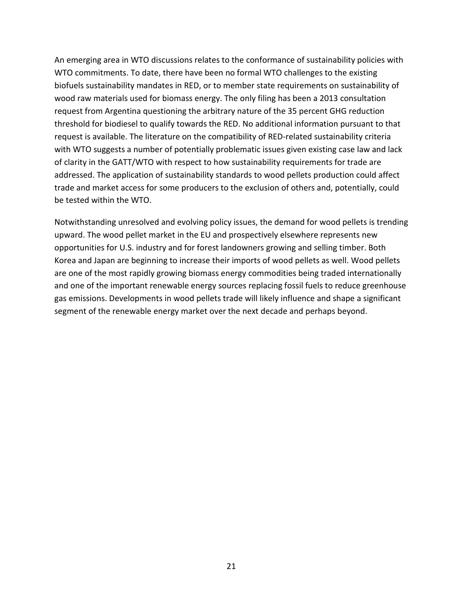An emerging area in WTO discussions relates to the conformance of sustainability policies with WTO commitments. To date, there have been no formal WTO challenges to the existing biofuels sustainability mandates in RED, or to member state requirements on sustainability of wood raw materials used for biomass energy. The only filing has been a 2013 consultation request from Argentina questioning the arbitrary nature of the 35 percent GHG reduction threshold for biodiesel to qualify towards the RED. No additional information pursuant to that request is available. The literature on the compatibility of RED-related sustainability criteria with WTO suggests a number of potentially problematic issues given existing case law and lack of clarity in the GATT/WTO with respect to how sustainability requirements for trade are addressed. The application of sustainability standards to wood pellets production could affect trade and market access for some producers to the exclusion of others and, potentially, could be tested within the WTO.

Notwithstanding unresolved and evolving policy issues, the demand for wood pellets is trending upward. The wood pellet market in the EU and prospectively elsewhere represents new opportunities for U.S. industry and for forest landowners growing and selling timber. Both Korea and Japan are beginning to increase their imports of wood pellets as well. Wood pellets are one of the most rapidly growing biomass energy commodities being traded internationally and one of the important renewable energy sources replacing fossil fuels to reduce greenhouse gas emissions. Developments in wood pellets trade will likely influence and shape a significant segment of the renewable energy market over the next decade and perhaps beyond.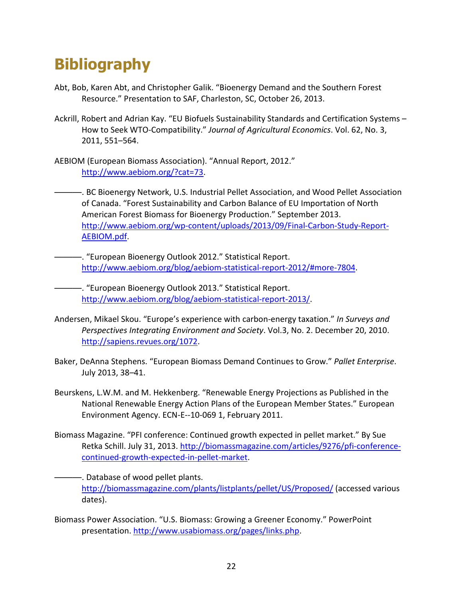# **Bibliography**

- Abt, Bob, Karen Abt, and Christopher Galik. "Bioenergy Demand and the Southern Forest Resource." Presentation to SAF, Charleston, SC, October 26, 2013.
- Ackrill, Robert and Adrian Kay. "EU Biofuels Sustainability Standards and Certification Systems How to Seek WTO-Compatibility." *Journal of Agricultural Economics*. Vol. 62, No. 3, 2011, 551–564.
- AEBIOM (European Biomass Association). "Annual Report, 2012." [http://www.aebiom.org/?cat=73.](http://www.aebiom.org/?cat=73)
	- ———. BC Bioenergy Network, U.S. Industrial Pellet Association, and Wood Pellet Association of Canada. "Forest Sustainability and Carbon Balance of EU Importation of North American Forest Biomass for Bioenergy Production." September 2013. [http://www.aebiom.org/wp-content/uploads/2013/09/Final-Carbon-Study-Report-](http://www.aebiom.org/wp-content/uploads/2013/09/Final-Carbon-Study-Report-AEBIOM.pdf)[AEBIOM.pdf.](http://www.aebiom.org/wp-content/uploads/2013/09/Final-Carbon-Study-Report-AEBIOM.pdf)
- ———. "European Bioenergy Outlook 2012." Statistical Report. [http://www.aebiom.org/blog/aebiom-statistical-report-2012/#more-7804.](http://www.aebiom.org/blog/aebiom-statistical-report-2012/%23more-7804)
- ———. "European Bioenergy Outlook 2013." Statistical Report. [http://www.aebiom.org/blog/aebiom-statistical-report-2013/.](http://www.aebiom.org/blog/aebiom-statistical-report-2013/)
- Andersen, Mikael Skou. "Europe's experience with carbon-energy taxation." *In Surveys and Perspectives Integrating Environment and Society*. Vol.3, No. 2. December 20, 2010. [http://sapiens.revues.org/1072.](http://sapiens.revues.org/1072)
- Baker, DeAnna Stephens. "European Biomass Demand Continues to Grow." *Pallet Enterprise*. July 2013, 38–41.
- Beurskens, L.W.M. and M. Hekkenberg. "Renewable Energy Projections as Published in the National Renewable Energy Action Plans of the European Member States." European Environment Agency. ECN-E--10-069 1, February 2011.
- Biomass Magazine. "PFI conference: Continued growth expected in pellet market." By Sue Retka Schill. July 31, 2013. [http://biomassmagazine.com/articles/9276/pfi-conference](http://biomassmagazine.com/articles/9276/pfi-conference-continued-growth-expected-in-pellet-market)[continued-growth-expected-in-pellet-market.](http://biomassmagazine.com/articles/9276/pfi-conference-continued-growth-expected-in-pellet-market)
	- -. Database of wood pellet plants. <http://biomassmagazine.com/plants/listplants/pellet/US/Proposed/> (accessed various dates).
- Biomass Power Association. "U.S. Biomass: Growing a Greener Economy." PowerPoint presentation. [http://www.usabiomass.org/pages/links.php.](http://www.usabiomass.org/pages/links.php)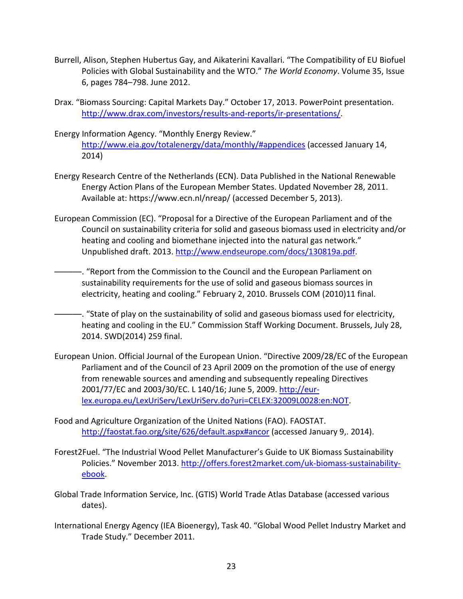- Burrell, Alison, Stephen Hubertus Gay, and Aikaterini Kavallari. "The Compatibility of EU Biofuel Policies with Global Sustainability and the WTO." *The World Economy*. Volume 35, Issue 6, pages 784–798. June 2012.
- Drax. "Biomass Sourcing: Capital Markets Day." October 17, 2013. PowerPoint presentation. [http://www.drax.com/investors/results-and-reports/ir-presentations/.](http://www.drax.com/investors/results-and-reports/ir-presentations/)
- Energy Information Agency. "Monthly Energy Review." [http://www.eia.gov/totalenergy/data/monthly/#appendices](http://www.eia.gov/totalenergy/data/monthly/%23appendices) (accessed January 14, 2014)
- Energy Research Centre of the Netherlands (ECN). Data Published in the National Renewable Energy Action Plans of the European Member States. Updated November 28, 2011. Available at: https://www.ecn.nl/nreap/ (accessed December 5, 2013).
- European Commission (EC). "Proposal for a Directive of the European Parliament and of the Council on sustainability criteria for solid and gaseous biomass used in electricity and/or heating and cooling and biomethane injected into the natural gas network." Unpublished draft. 2013. [http://www.endseurope.com/docs/130819a.pdf.](http://www.endseurope.com/docs/130819a.pdf)
	- ———. "Report from the Commission to the Council and the European Parliament on sustainability requirements for the use of solid and gaseous biomass sources in electricity, heating and cooling." February 2, 2010. Brussels COM (2010)11 final.
	- -. "State of play on the sustainability of solid and gaseous biomass used for electricity, heating and cooling in the EU." Commission Staff Working Document. Brussels, July 28, 2014. SWD(2014) 259 final.
- European Union. Official Journal of the European Union. "Directive 2009/28/EC of the European Parliament and of the Council of 23 April 2009 on the promotion of the use of energy from renewable sources and amending and subsequently repealing Directives 2001/77/EC and 2003/30/EC. L 140/16; June 5, 2009. [http://eur](http://eur-lex.europa.eu/LexUriServ/LexUriServ.do?uri=CELEX:32009L0028:en:NOT)[lex.europa.eu/LexUriServ/LexUriServ.do?uri=CELEX:32009L0028:en:NOT.](http://eur-lex.europa.eu/LexUriServ/LexUriServ.do?uri=CELEX:32009L0028:en:NOT)
- Food and Agriculture Organization of the United Nations (FAO). FAOSTAT. [http://faostat.fao.org/site/626/default.aspx#ancor](http://faostat.fao.org/site/626/default.aspx%23ancor) (accessed January 9,. 2014).
- Forest2Fuel. "The Industrial Wood Pellet Manufacturer's Guide to UK Biomass Sustainability Policies." November 2013. [http://offers.forest2market.com/uk-biomass-sustainability](http://offers.forest2market.com/uk-biomass-sustainability-ebook)[ebook.](http://offers.forest2market.com/uk-biomass-sustainability-ebook)
- Global Trade Information Service, Inc. (GTIS) World Trade Atlas Database (accessed various dates).
- International Energy Agency (IEA Bioenergy), Task 40. "Global Wood Pellet Industry Market and Trade Study." December 2011.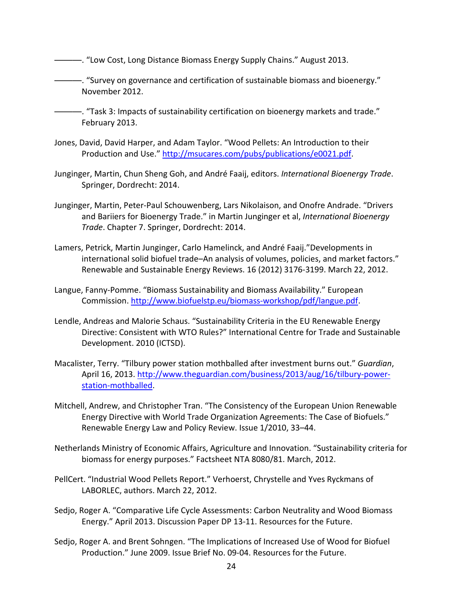———. "Low Cost, Long Distance Biomass Energy Supply Chains." August 2013.

———. "Survey on governance and certification of sustainable biomass and bioenergy." November 2012.

———. "Task 3: Impacts of sustainability certification on bioenergy markets and trade." February 2013.

- Jones, David, David Harper, and Adam Taylor. "Wood Pellets: An Introduction to their Production and Use.[" http://msucares.com/pubs/publications/e0021.pdf.](http://msucares.com/pubs/publications/e0021.pdf)
- Junginger, Martin, Chun Sheng Goh, and André Faaij, editors. *International Bioenergy Trade*. Springer, Dordrecht: 2014.
- Junginger, Martin, Peter-Paul Schouwenberg, Lars Nikolaison, and Onofre Andrade. "Drivers and Bariiers for Bioenergy Trade." in Martin Junginger et al, *International Bioenergy Trade*. Chapter 7. Springer, Dordrecht: 2014.
- Lamers, Petrick, Martin Junginger, Carlo Hamelinck, and André Faaij."Developments in international solid biofuel trade–An analysis of volumes, policies, and market factors." Renewable and Sustainable Energy Reviews. 16 (2012) 3176-3199. March 22, 2012.
- Langue, Fanny-Pomme. "Biomass Sustainability and Biomass Availability." European Commission. [http://www.biofuelstp.eu/biomass-workshop/pdf/langue.pdf.](http://www.biofuelstp.eu/biomass-workshop/pdf/langue.pdf)
- Lendle, Andreas and Malorie Schaus. "Sustainability Criteria in the EU Renewable Energy Directive: Consistent with WTO Rules?" International Centre for Trade and Sustainable Development. 2010 (ICTSD).
- Macalister, Terry. "Tilbury power station mothballed after investment burns out." *Guardian*, April 16, 2013. [http://www.theguardian.com/business/2013/aug/16/tilbury-power](http://www.theguardian.com/business/2013/aug/16/tilbury-power-station-mothballed)[station-mothballed.](http://www.theguardian.com/business/2013/aug/16/tilbury-power-station-mothballed)
- Mitchell, Andrew, and Christopher Tran. "The Consistency of the European Union Renewable Energy Directive with World Trade Organization Agreements: The Case of Biofuels." Renewable Energy Law and Policy Review. Issue 1/2010, 33–44.
- Netherlands Ministry of Economic Affairs, Agriculture and Innovation. "Sustainability criteria for biomass for energy purposes." Factsheet NTA 8080/81. March, 2012.
- PellCert. "Industrial Wood Pellets Report." Verhoerst, Chrystelle and Yves Ryckmans of LABORLEC, authors. March 22, 2012.
- Sedjo, Roger A. "Comparative Life Cycle Assessments: Carbon Neutrality and Wood Biomass Energy." April 2013. Discussion Paper DP 13-11. Resources for the Future.
- Sedjo, Roger A. and Brent Sohngen. "The Implications of Increased Use of Wood for Biofuel Production." June 2009. Issue Brief No. 09-04. Resources for the Future.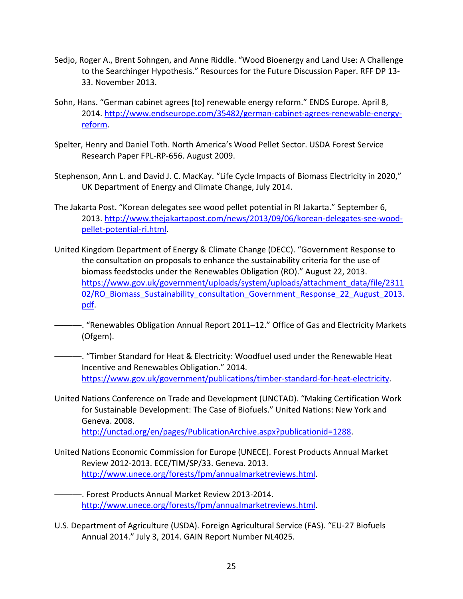- Sedjo, Roger A., Brent Sohngen, and Anne Riddle. "Wood Bioenergy and Land Use: A Challenge to the Searchinger Hypothesis." Resources for the Future Discussion Paper. RFF DP 13- 33. November 2013.
- Sohn, Hans. "German cabinet agrees [to] renewable energy reform." ENDS Europe. April 8, 2014. [http://www.endseurope.com/35482/german-cabinet-agrees-renewable-energy](http://www.endseurope.com/35482/german-cabinet-agrees-renewable-energy-reform)[reform.](http://www.endseurope.com/35482/german-cabinet-agrees-renewable-energy-reform)
- Spelter, Henry and Daniel Toth. North America's Wood Pellet Sector. USDA Forest Service Research Paper FPL-RP-656. August 2009.
- Stephenson, Ann L. and David J. C. MacKay. "Life Cycle Impacts of Biomass Electricity in 2020," UK Department of Energy and Climate Change, July 2014.
- The Jakarta Post. "Korean delegates see wood pellet potential in RI Jakarta." September 6, 2013. [http://www.thejakartapost.com/news/2013/09/06/korean-delegates-see-wood](http://www.thejakartapost.com/news/2013/09/06/korean-delegates-see-wood-pellet-potential-ri.html)[pellet-potential-ri.html.](http://www.thejakartapost.com/news/2013/09/06/korean-delegates-see-wood-pellet-potential-ri.html)
- United Kingdom Department of Energy & Climate Change (DECC). "Government Response to the consultation on proposals to enhance the sustainability criteria for the use of biomass feedstocks under the Renewables Obligation (RO)." August 22, 2013. [https://www.gov.uk/government/uploads/system/uploads/attachment\\_data/file/2311](https://www.gov.uk/government/uploads/system/uploads/attachment_data/file/231102/RO_Biomass_Sustainability_consultation_Government_Response_22_August_2013.pdf) 02/RO Biomass Sustainability consultation Government Response 22 August 2013. [pdf.](https://www.gov.uk/government/uploads/system/uploads/attachment_data/file/231102/RO_Biomass_Sustainability_consultation_Government_Response_22_August_2013.pdf)
- ———. "Renewables Obligation Annual Report 2011–12." Office of Gas and Electricity Markets (Ofgem).
- -. "Timber Standard for Heat & Electricity: Woodfuel used under the Renewable Heat Incentive and Renewables Obligation." 2014. [https://www.gov.uk/government/publications/timber-standard-for-heat-electricity.](https://www.gov.uk/government/publications/timber-standard-for-heat-electricity)
- United Nations Conference on Trade and Development (UNCTAD). "Making Certification Work for Sustainable Development: The Case of Biofuels." United Nations: New York and Geneva. 2008. [http://unctad.org/en/pages/PublicationArchive.aspx?publicationid=1288.](http://unctad.org/en/pages/PublicationArchive.aspx?publicationid=1288)
- United Nations Economic Commission for Europe (UNECE). Forest Products Annual Market Review 2012-2013. ECE/TIM/SP/33. Geneva. 2013. [http://www.unece.org/forests/fpm/annualmarketreviews.html.](http://www.unece.org/forests/fpm/annualmarketreviews.html)

-. Forest Products Annual Market Review 2013-2014. [http://www.unece.org/forests/fpm/annualmarketreviews.html.](http://www.unece.org/forests/fpm/annualmarketreviews.html)

U.S. Department of Agriculture (USDA). Foreign Agricultural Service (FAS). "EU-27 Biofuels Annual 2014." July 3, 2014. GAIN Report Number NL4025.